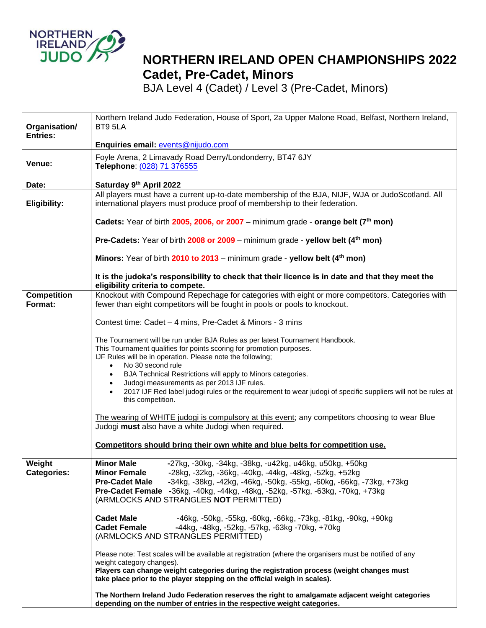

## **NORTHERN IRELAND OPEN CHAMPIONSHIPS 2022 Cadet, Pre-Cadet, Minors**

BJA Level 4 (Cadet) / Level 3 (Pre-Cadet, Minors)

| Organisation/                | Northern Ireland Judo Federation, House of Sport, 2a Upper Malone Road, Belfast, Northern Ireland,<br>BT9 5LA                                                                                                                                                                                                                                                                              |
|------------------------------|--------------------------------------------------------------------------------------------------------------------------------------------------------------------------------------------------------------------------------------------------------------------------------------------------------------------------------------------------------------------------------------------|
| <b>Entries:</b>              | Enquiries email: events@nijudo.com                                                                                                                                                                                                                                                                                                                                                         |
|                              | Foyle Arena, 2 Limavady Road Derry/Londonderry, BT47 6JY                                                                                                                                                                                                                                                                                                                                   |
| Venue:                       | Telephone: (028) 71 376555                                                                                                                                                                                                                                                                                                                                                                 |
| Date:                        | Saturday 9th April 2022                                                                                                                                                                                                                                                                                                                                                                    |
| Eligibility:                 | All players must have a current up-to-date membership of the BJA, NIJF, WJA or JudoScotland. All<br>international players must produce proof of membership to their federation.                                                                                                                                                                                                            |
|                              | Cadets: Year of birth 2005, 2006, or 2007 – minimum grade - orange belt (7 <sup>th</sup> mon)                                                                                                                                                                                                                                                                                              |
|                              | Pre-Cadets: Year of birth 2008 or 2009 - minimum grade - yellow belt (4 <sup>th</sup> mon)                                                                                                                                                                                                                                                                                                 |
|                              | Minors: Year of birth 2010 to 2013 – minimum grade - yellow belt (4 <sup>th</sup> mon)                                                                                                                                                                                                                                                                                                     |
|                              | It is the judoka's responsibility to check that their licence is in date and that they meet the<br>eligibility criteria to compete.                                                                                                                                                                                                                                                        |
| <b>Competition</b>           | Knockout with Compound Repechage for categories with eight or more competitors. Categories with                                                                                                                                                                                                                                                                                            |
| Format:                      | fewer than eight competitors will be fought in pools or pools to knockout.                                                                                                                                                                                                                                                                                                                 |
|                              | Contest time: Cadet - 4 mins, Pre-Cadet & Minors - 3 mins                                                                                                                                                                                                                                                                                                                                  |
|                              | The Tournament will be run under BJA Rules as per latest Tournament Handbook.<br>This Tournament qualifies for points scoring for promotion purposes.<br>IJF Rules will be in operation. Please note the following;<br>No 30 second rule<br>$\bullet$                                                                                                                                      |
|                              | BJA Technical Restrictions will apply to Minors categories.<br>$\bullet$<br>Judogi measurements as per 2013 IJF rules.<br>2017 IJF Red label judogi rules or the requirement to wear judogi of specific suppliers will not be rules at<br>this competition.                                                                                                                                |
|                              | The wearing of WHITE judogi is compulsory at this event; any competitors choosing to wear Blue<br>Judogi must also have a white Judogi when required.                                                                                                                                                                                                                                      |
|                              | Competitors should bring their own white and blue belts for competition use.                                                                                                                                                                                                                                                                                                               |
| Weight<br><b>Categories:</b> | <b>Minor Male</b><br>-27kg, -30kg, -34kg, -38kg, -u42kg, u46kg, u50kg, +50kg<br><b>Minor Female</b><br>-28kg, -32kg, -36kg, -40kg, -44kg, -48kg, -52kg, +52kg<br><b>Pre-Cadet Male</b><br>-34kg, -38kg, -42kg, -46kg, -50kg, -55kg, -60kg, -66kg, -73kg, +73kg<br>Pre-Cadet Female -36kg, -40kg, -44kg, -48kg, -52kg, -57kg, -63kg, -70kg, +73kg<br>(ARMLOCKS AND STRANGLES NOT PERMITTED) |
|                              | <b>Cadet Male</b><br>-46kg, -50kg, -55kg, -60kg, -66kg, -73kg, -81kg, -90kg, +90kg<br><b>Cadet Female</b><br>-44kg, -48kg, -52kg, -57kg, -63kg -70kg, +70kg<br>(ARMLOCKS AND STRANGLES PERMITTED)                                                                                                                                                                                          |
|                              | Please note: Test scales will be available at registration (where the organisers must be notified of any<br>weight category changes).<br>Players can change weight categories during the registration process (weight changes must<br>take place prior to the player stepping on the official weigh in scales).                                                                            |
|                              | The Northern Ireland Judo Federation reserves the right to amalgamate adjacent weight categories<br>depending on the number of entries in the respective weight categories.                                                                                                                                                                                                                |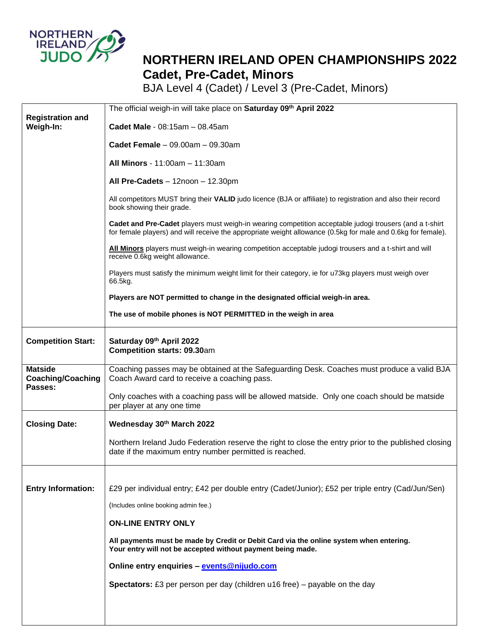

## **NORTHERN IRELAND OPEN CHAMPIONSHIPS 2022 Cadet, Pre-Cadet, Minors**

BJA Level 4 (Cadet) / Level 3 (Pre-Cadet, Minors)

|                                            | The official weigh-in will take place on Saturday 09th April 2022                                                                                                                                                       |
|--------------------------------------------|-------------------------------------------------------------------------------------------------------------------------------------------------------------------------------------------------------------------------|
| <b>Registration and</b><br>Weigh-In:       | Cadet Male - 08:15am - 08.45am                                                                                                                                                                                          |
|                                            | Cadet Female $-09.00am - 09.30am$                                                                                                                                                                                       |
|                                            | All Minors - 11:00am - 11:30am                                                                                                                                                                                          |
|                                            | All Pre-Cadets - 12noon - 12.30pm                                                                                                                                                                                       |
|                                            | All competitors MUST bring their VALID judo licence (BJA or affiliate) to registration and also their record<br>book showing their grade.                                                                               |
|                                            | Cadet and Pre-Cadet players must weigh-in wearing competition acceptable judogi trousers (and a t-shirt<br>for female players) and will receive the appropriate weight allowance (0.5kg for male and 0.6kg for female). |
|                                            | All Minors players must weigh-in wearing competition acceptable judogi trousers and a t-shirt and will<br>receive 0.6kg weight allowance.                                                                               |
|                                            | Players must satisfy the minimum weight limit for their category, ie for u73kg players must weigh over<br>66.5kg.                                                                                                       |
|                                            | Players are NOT permitted to change in the designated official weigh-in area.                                                                                                                                           |
|                                            | The use of mobile phones is NOT PERMITTED in the weigh in area                                                                                                                                                          |
| <b>Competition Start:</b>                  | Saturday 09th April 2022<br>Competition starts: 09.30am                                                                                                                                                                 |
| <b>Matside</b><br><b>Coaching/Coaching</b> | Coaching passes may be obtained at the Safeguarding Desk. Coaches must produce a valid BJA<br>Coach Award card to receive a coaching pass.                                                                              |
| Passes:                                    | Only coaches with a coaching pass will be allowed matside. Only one coach should be matside<br>per player at any one time                                                                                               |
| <b>Closing Date:</b>                       | Wednesday 30th March 2022                                                                                                                                                                                               |
|                                            | Northern Ireland Judo Federation reserve the right to close the entry prior to the published closing<br>date if the maximum entry number permitted is reached.                                                          |
|                                            |                                                                                                                                                                                                                         |
| <b>Entry Information:</b>                  | £29 per individual entry; £42 per double entry (Cadet/Junior); £52 per triple entry (Cad/Jun/Sen)                                                                                                                       |
|                                            | (Includes online booking admin fee.)                                                                                                                                                                                    |
|                                            | <b>ON-LINE ENTRY ONLY</b>                                                                                                                                                                                               |
|                                            | All payments must be made by Credit or Debit Card via the online system when entering.<br>Your entry will not be accepted without payment being made.                                                                   |
|                                            | Online entry enquiries - events@nijudo.com                                                                                                                                                                              |
|                                            | <b>Spectators:</b> £3 per person per day (children $u$ 16 free) – payable on the day                                                                                                                                    |
|                                            |                                                                                                                                                                                                                         |